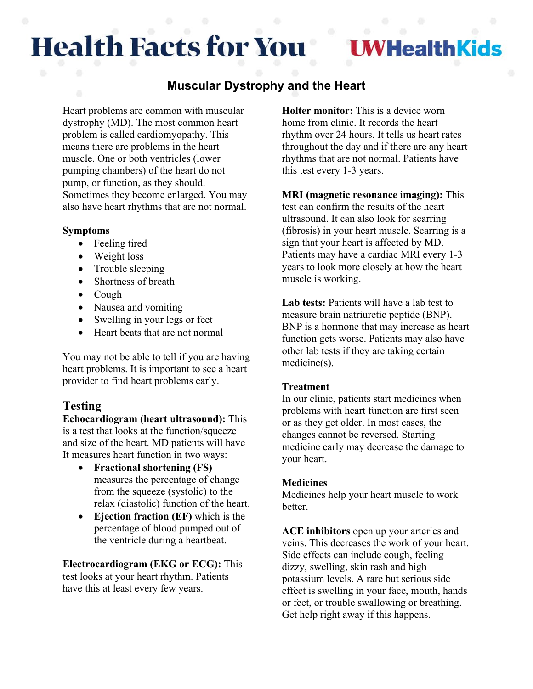# **Health Facts for You**

**IWHealthKids** 

## **Muscular Dystrophy and the Heart**

Heart problems are common with muscular dystrophy (MD). The most common heart problem is called cardiomyopathy. This means there are problems in the heart muscle. One or both ventricles (lower pumping chambers) of the heart do not pump, or function, as they should. Sometimes they become enlarged. You may also have heart rhythms that are not normal.

#### **Symptoms**

- Feeling tired
- Weight loss
- Trouble sleeping
- Shortness of breath
- Cough
- Nausea and vomiting
- Swelling in your legs or feet
- Heart beats that are not normal

You may not be able to tell if you are having heart problems. It is important to see a heart provider to find heart problems early.

### **Testing**

**Echocardiogram (heart ultrasound):** This is a test that looks at the function/squeeze and size of the heart. MD patients will have It measures heart function in two ways:

- **Fractional shortening (FS)** measures the percentage of change from the squeeze (systolic) to the relax (diastolic) function of the heart.
- **Ejection fraction (EF)** which is the percentage of blood pumped out of the ventricle during a heartbeat.

**Electrocardiogram (EKG or ECG):** This test looks at your heart rhythm. Patients have this at least every few years.

**Holter monitor:** This is a device worn home from clinic. It records the heart rhythm over 24 hours. It tells us heart rates throughout the day and if there are any heart rhythms that are not normal. Patients have this test every 1-3 years.

**MRI (magnetic resonance imaging):** This test can confirm the results of the heart ultrasound. It can also look for scarring (fibrosis) in your heart muscle. Scarring is a sign that your heart is affected by MD. Patients may have a cardiac MRI every 1-3 years to look more closely at how the heart muscle is working.

**Lab tests:** Patients will have a lab test to measure brain natriuretic peptide (BNP). BNP is a hormone that may increase as heart function gets worse. Patients may also have other lab tests if they are taking certain medicine(s).

#### **Treatment**

In our clinic, patients start medicines when problems with heart function are first seen or as they get older. In most cases, the changes cannot be reversed. Starting medicine early may decrease the damage to your heart.

#### **Medicines**

Medicines help your heart muscle to work better.

**ACE inhibitors** open up your arteries and veins. This decreases the work of your heart. Side effects can include cough, feeling dizzy, swelling, skin rash and high potassium levels. A rare but serious side effect is swelling in your face, mouth, hands or feet, or trouble swallowing or breathing. Get help right away if this happens.